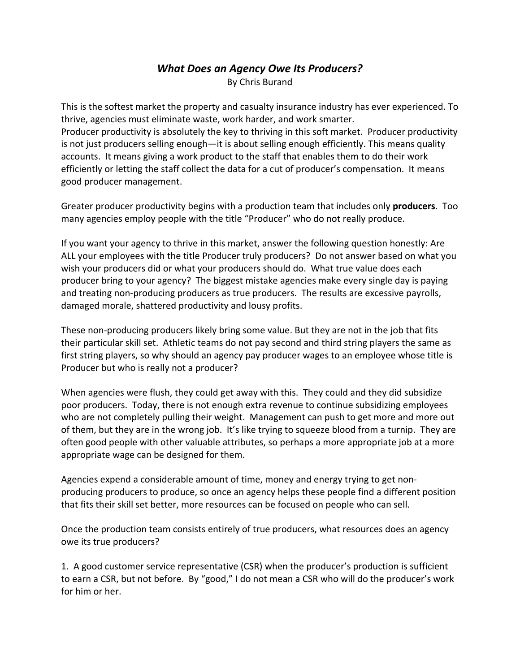## *What Does an Agency Owe Its Producers?* By Chris Burand

This is the softest market the property and casualty insurance industry has ever experienced. To thrive, agencies must eliminate waste, work harder, and work smarter. Producer productivity is absolutely the key to thriving in this soft market. Producer productivity is not just producers selling enough—it is about selling enough efficiently. This means quality accounts. It means giving a work product to the staff that enables them to do their work efficiently or letting the staff collect the data for a cut of producer's compensation. It means good producer management.

Greater producer productivity begins with a production team that includes only **producers**. Too many agencies employ people with the title "Producer" who do not really produce.

If you want your agency to thrive in this market, answer the following question honestly: Are ALL your employees with the title Producer truly producers? Do not answer based on what you wish your producers did or what your producers should do. What true value does each producer bring to your agency? The biggest mistake agencies make every single day is paying and treating non-producing producers as true producers. The results are excessive payrolls, damaged morale, shattered productivity and lousy profits.

These non-producing producers likely bring some value. But they are not in the job that fits their particular skill set. Athletic teams do not pay second and third string players the same as first string players, so why should an agency pay producer wages to an employee whose title is Producer but who is really not a producer?

When agencies were flush, they could get away with this. They could and they did subsidize poor producers. Today, there is not enough extra revenue to continue subsidizing employees who are not completely pulling their weight. Management can push to get more and more out of them, but they are in the wrong job. It's like trying to squeeze blood from a turnip. They are often good people with other valuable attributes, so perhaps a more appropriate job at a more appropriate wage can be designed for them.

Agencies expend a considerable amount of time, money and energy trying to get non‐ producing producers to produce, so once an agency helps these people find a different position that fits their skill set better, more resources can be focused on people who can sell.

Once the production team consists entirely of true producers, what resources does an agency owe its true producers?

1. A good customer service representative (CSR) when the producer's production is sufficient to earn a CSR, but not before. By "good," I do not mean a CSR who will do the producer's work for him or her.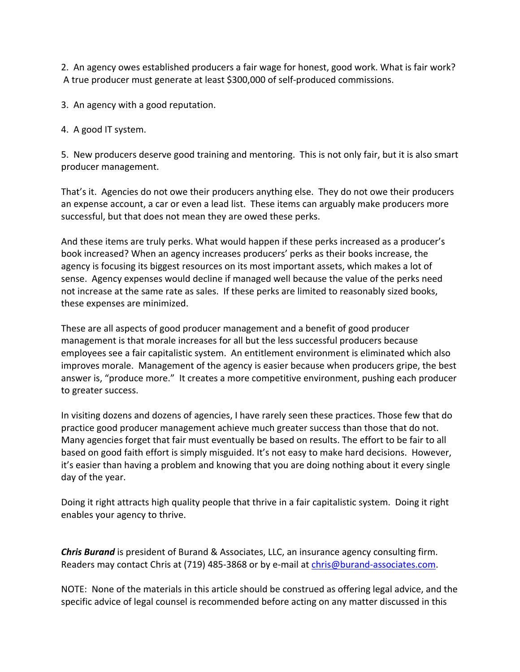2. An agency owes established producers a fair wage for honest, good work. What is fair work? A true producer must generate at least \$300,000 of self‐produced commissions.

3. An agency with a good reputation.

4. A good IT system.

5. New producers deserve good training and mentoring. This is not only fair, but it is also smart producer management.

That's it. Agencies do not owe their producers anything else. They do not owe their producers an expense account, a car or even a lead list. These items can arguably make producers more successful, but that does not mean they are owed these perks.

And these items are truly perks. What would happen if these perks increased as a producer's book increased? When an agency increases producers' perks as their books increase, the agency is focusing its biggest resources on its most important assets, which makes a lot of sense. Agency expenses would decline if managed well because the value of the perks need not increase at the same rate as sales. If these perks are limited to reasonably sized books, these expenses are minimized.

These are all aspects of good producer management and a benefit of good producer management is that morale increases for all but the less successful producers because employees see a fair capitalistic system. An entitlement environment is eliminated which also improves morale. Management of the agency is easier because when producers gripe, the best answer is, "produce more." It creates a more competitive environment, pushing each producer to greater success.

In visiting dozens and dozens of agencies, I have rarely seen these practices. Those few that do practice good producer management achieve much greater success than those that do not. Many agencies forget that fair must eventually be based on results. The effort to be fair to all based on good faith effort is simply misguided. It's not easy to make hard decisions. However, it's easier than having a problem and knowing that you are doing nothing about it every single day of the year.

Doing it right attracts high quality people that thrive in a fair capitalistic system. Doing it right enables your agency to thrive.

*Chris Burand* is president of Burand & Associates, LLC, an insurance agency consulting firm. Readers may contact Chris at (719) 485-3868 or by e-mail at chris@burand-associates.com.

NOTE: None of the materials in this article should be construed as offering legal advice, and the specific advice of legal counsel is recommended before acting on any matter discussed in this